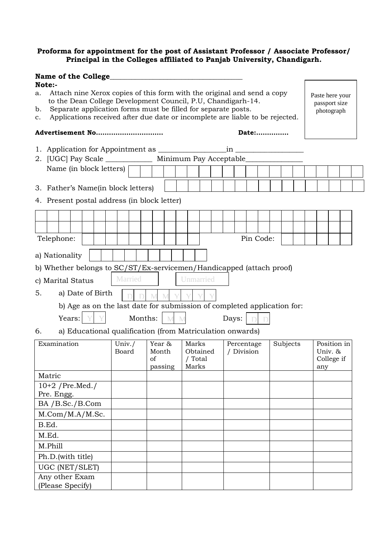## **Proforma for appointment for the post of Assistant Professor / Associate Professor/ Principal in the Colleges affiliated to Panjab University, Chandigarh.**

|                                                                                    | <b>Name of the College</b>                                                                                                                                                                                                                                                                                                                            |                  |  |  |                                                                         |         |  |                                  |   |             |                                       |           |  |                          |  |           |          |  |  |                                             |  |  |  |  |
|------------------------------------------------------------------------------------|-------------------------------------------------------------------------------------------------------------------------------------------------------------------------------------------------------------------------------------------------------------------------------------------------------------------------------------------------------|------------------|--|--|-------------------------------------------------------------------------|---------|--|----------------------------------|---|-------------|---------------------------------------|-----------|--|--------------------------|--|-----------|----------|--|--|---------------------------------------------|--|--|--|--|
| a.<br>b.<br>$\mathbf{c}$ .                                                         | Note:-<br>Attach nine Xerox copies of this form with the original and send a copy<br>Paste here your<br>to the Dean College Development Council, P.U, Chandigarh-14.<br>passport size<br>Separate application forms must be filled for separate posts.<br>photograph<br>Applications received after due date or incomplete are liable to be rejected. |                  |  |  |                                                                         |         |  |                                  |   |             |                                       |           |  |                          |  |           |          |  |  |                                             |  |  |  |  |
|                                                                                    | Advertisement No                                                                                                                                                                                                                                                                                                                                      |                  |  |  |                                                                         |         |  |                                  |   |             |                                       |           |  |                          |  | Date:     |          |  |  |                                             |  |  |  |  |
|                                                                                    | 2. [UGC] Pay Scale _______________ Minimum Pay Acceptable_________                                                                                                                                                                                                                                                                                    |                  |  |  |                                                                         |         |  |                                  |   |             |                                       |           |  |                          |  |           |          |  |  |                                             |  |  |  |  |
|                                                                                    | Name (in block letters)                                                                                                                                                                                                                                                                                                                               |                  |  |  |                                                                         |         |  |                                  |   |             |                                       |           |  |                          |  |           |          |  |  |                                             |  |  |  |  |
| 3. Father's Name (in block letters)<br>4. Present postal address (in block letter) |                                                                                                                                                                                                                                                                                                                                                       |                  |  |  |                                                                         |         |  |                                  |   |             |                                       |           |  |                          |  |           |          |  |  |                                             |  |  |  |  |
|                                                                                    |                                                                                                                                                                                                                                                                                                                                                       |                  |  |  |                                                                         |         |  |                                  |   |             |                                       |           |  |                          |  |           |          |  |  |                                             |  |  |  |  |
|                                                                                    |                                                                                                                                                                                                                                                                                                                                                       |                  |  |  |                                                                         |         |  |                                  |   |             |                                       |           |  |                          |  |           |          |  |  |                                             |  |  |  |  |
|                                                                                    | Telephone:                                                                                                                                                                                                                                                                                                                                            |                  |  |  |                                                                         |         |  |                                  |   |             |                                       |           |  |                          |  | Pin Code: |          |  |  |                                             |  |  |  |  |
|                                                                                    |                                                                                                                                                                                                                                                                                                                                                       |                  |  |  |                                                                         |         |  |                                  |   |             |                                       |           |  |                          |  |           |          |  |  |                                             |  |  |  |  |
|                                                                                    | a) Nationality                                                                                                                                                                                                                                                                                                                                        |                  |  |  |                                                                         |         |  |                                  |   |             |                                       |           |  |                          |  |           |          |  |  |                                             |  |  |  |  |
|                                                                                    | b) Whether belongs to SC/ST/Ex-servicemen/Handicapped (attach proof)                                                                                                                                                                                                                                                                                  |                  |  |  |                                                                         |         |  |                                  |   |             |                                       |           |  |                          |  |           |          |  |  |                                             |  |  |  |  |
|                                                                                    | c) Marital Status                                                                                                                                                                                                                                                                                                                                     |                  |  |  |                                                                         | Married |  |                                  |   |             |                                       | Unmarried |  |                          |  |           |          |  |  |                                             |  |  |  |  |
| 5.                                                                                 |                                                                                                                                                                                                                                                                                                                                                       | a) Date of Birth |  |  |                                                                         |         |  |                                  |   |             |                                       |           |  |                          |  |           |          |  |  |                                             |  |  |  |  |
|                                                                                    |                                                                                                                                                                                                                                                                                                                                                       |                  |  |  | b) Age as on the last date for submission of completed application for: |         |  |                                  |   |             |                                       |           |  |                          |  |           |          |  |  |                                             |  |  |  |  |
|                                                                                    |                                                                                                                                                                                                                                                                                                                                                       | Years:           |  |  |                                                                         |         |  | Months:                          | M | $\mathbf M$ |                                       |           |  | Days:                    |  |           |          |  |  |                                             |  |  |  |  |
| 6.                                                                                 |                                                                                                                                                                                                                                                                                                                                                       |                  |  |  | a) Educational qualification (from Matriculation onwards)               |         |  |                                  |   |             |                                       |           |  |                          |  |           |          |  |  |                                             |  |  |  |  |
|                                                                                    |                                                                                                                                                                                                                                                                                                                                                       |                  |  |  |                                                                         |         |  |                                  |   |             |                                       |           |  |                          |  |           |          |  |  |                                             |  |  |  |  |
| Examination                                                                        |                                                                                                                                                                                                                                                                                                                                                       |                  |  |  | Univ. $/$<br>Board                                                      |         |  | Year &<br>Month<br>of<br>passing |   |             | Marks<br>Obtained<br>/ Total<br>Marks |           |  | Percentage<br>/ Division |  |           | Subjects |  |  | Position in<br>Univ. &<br>College if<br>any |  |  |  |  |
|                                                                                    | Matric                                                                                                                                                                                                                                                                                                                                                |                  |  |  |                                                                         |         |  |                                  |   |             |                                       |           |  |                          |  |           |          |  |  |                                             |  |  |  |  |
|                                                                                    | $10+2$ /Pre.Med./                                                                                                                                                                                                                                                                                                                                     |                  |  |  |                                                                         |         |  |                                  |   |             |                                       |           |  |                          |  |           |          |  |  |                                             |  |  |  |  |
|                                                                                    | Pre. Engg.                                                                                                                                                                                                                                                                                                                                            |                  |  |  |                                                                         |         |  |                                  |   |             |                                       |           |  |                          |  |           |          |  |  |                                             |  |  |  |  |
| BA / B.Sc./ B.Com                                                                  |                                                                                                                                                                                                                                                                                                                                                       |                  |  |  |                                                                         |         |  |                                  |   |             |                                       |           |  |                          |  |           |          |  |  |                                             |  |  |  |  |
| M. Com/M.A/M.Sc.<br>B.Ed.                                                          |                                                                                                                                                                                                                                                                                                                                                       |                  |  |  |                                                                         |         |  |                                  |   |             |                                       |           |  |                          |  |           |          |  |  |                                             |  |  |  |  |
| M.Ed.                                                                              |                                                                                                                                                                                                                                                                                                                                                       |                  |  |  |                                                                         |         |  |                                  |   |             |                                       |           |  |                          |  |           |          |  |  |                                             |  |  |  |  |
| M.Phill                                                                            |                                                                                                                                                                                                                                                                                                                                                       |                  |  |  |                                                                         |         |  |                                  |   |             |                                       |           |  |                          |  |           |          |  |  |                                             |  |  |  |  |
| Ph.D.(with title)                                                                  |                                                                                                                                                                                                                                                                                                                                                       |                  |  |  |                                                                         |         |  |                                  |   |             |                                       |           |  |                          |  |           |          |  |  |                                             |  |  |  |  |
| UGC (NET/SLET)                                                                     |                                                                                                                                                                                                                                                                                                                                                       |                  |  |  |                                                                         |         |  |                                  |   |             |                                       |           |  |                          |  |           |          |  |  |                                             |  |  |  |  |
| Any other Exam<br>(Please Specify)                                                 |                                                                                                                                                                                                                                                                                                                                                       |                  |  |  |                                                                         |         |  |                                  |   |             |                                       |           |  |                          |  |           |          |  |  |                                             |  |  |  |  |